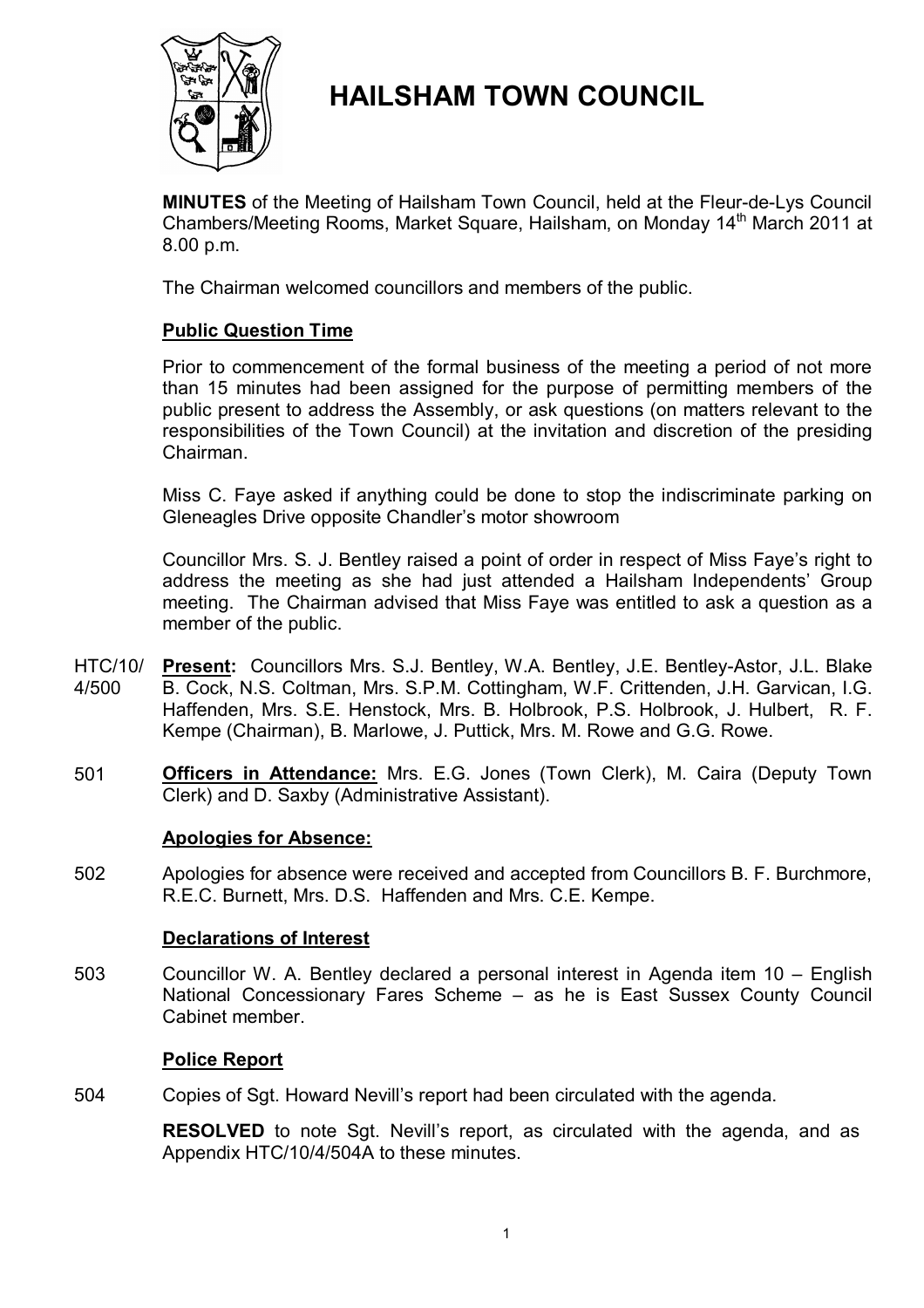

# **HAILSHAM TOWN COUNCIL**

**MINUTES** of the Meeting of Hailsham Town Council, held at the Fleur-de-Lys Council Chambers/Meeting Rooms, Market Square, Hailsham, on Monday 14<sup>th</sup> March 2011 at 8.00 p.m.

The Chairman welcomed councillors and members of the public.

# **Public Question Time**

Prior to commencement of the formal business of the meeting a period of not more than 15 minutes had been assigned for the purpose of permitting members of the public present to address the Assembly, or ask questions (on matters relevant to the responsibilities of the Town Council) at the invitation and discretion of the presiding Chairman.

Miss C. Faye asked if anything could be done to stop the indiscriminate parking on Gleneagles Drive opposite Chandler's motor showroom

Councillor Mrs. S. J. Bentley raised a point of order in respect of Miss Faye's right to address the meeting as she had just attended a Hailsham Independents' Group meeting. The Chairman advised that Miss Faye was entitled to ask a question as a member of the public.

- HTC/10/ 4/500 **Present:** Councillors Mrs. S.J. Bentley, W.A. Bentley, J.E. Bentley-Astor, J.L. Blake B. Cock, N.S. Coltman, Mrs. S.P.M. Cottingham, W.F. Crittenden, J.H. Garvican, I.G. Haffenden, Mrs. S.E. Henstock, Mrs. B. Holbrook, P.S. Holbrook, J. Hulbert, R. F. Kempe (Chairman), B. Marlowe, J. Puttick, Mrs. M. Rowe and G.G. Rowe.
- 501 **Officers in Attendance:** Mrs. E.G. Jones (Town Clerk), M. Caira (Deputy Town Clerk) and D. Saxby (Administrative Assistant).

# **Apologies for Absence:**

502 Apologies for absence were received and accepted from Councillors B. F. Burchmore, R.E.C. Burnett, Mrs. D.S. Haffenden and Mrs. C.E. Kempe.

# **Declarations of Interest**

503 Councillor W. A. Bentley declared a personal interest in Agenda item 10 – English National Concessionary Fares Scheme – as he is East Sussex County Council Cabinet member.

# **Police Report**

504 Copies of Sgt. Howard Nevill's report had been circulated with the agenda.

> **RESOLVED** to note Sgt. Nevill's report, as circulated with the agenda, and as Appendix HTC/10/4/504A to these minutes.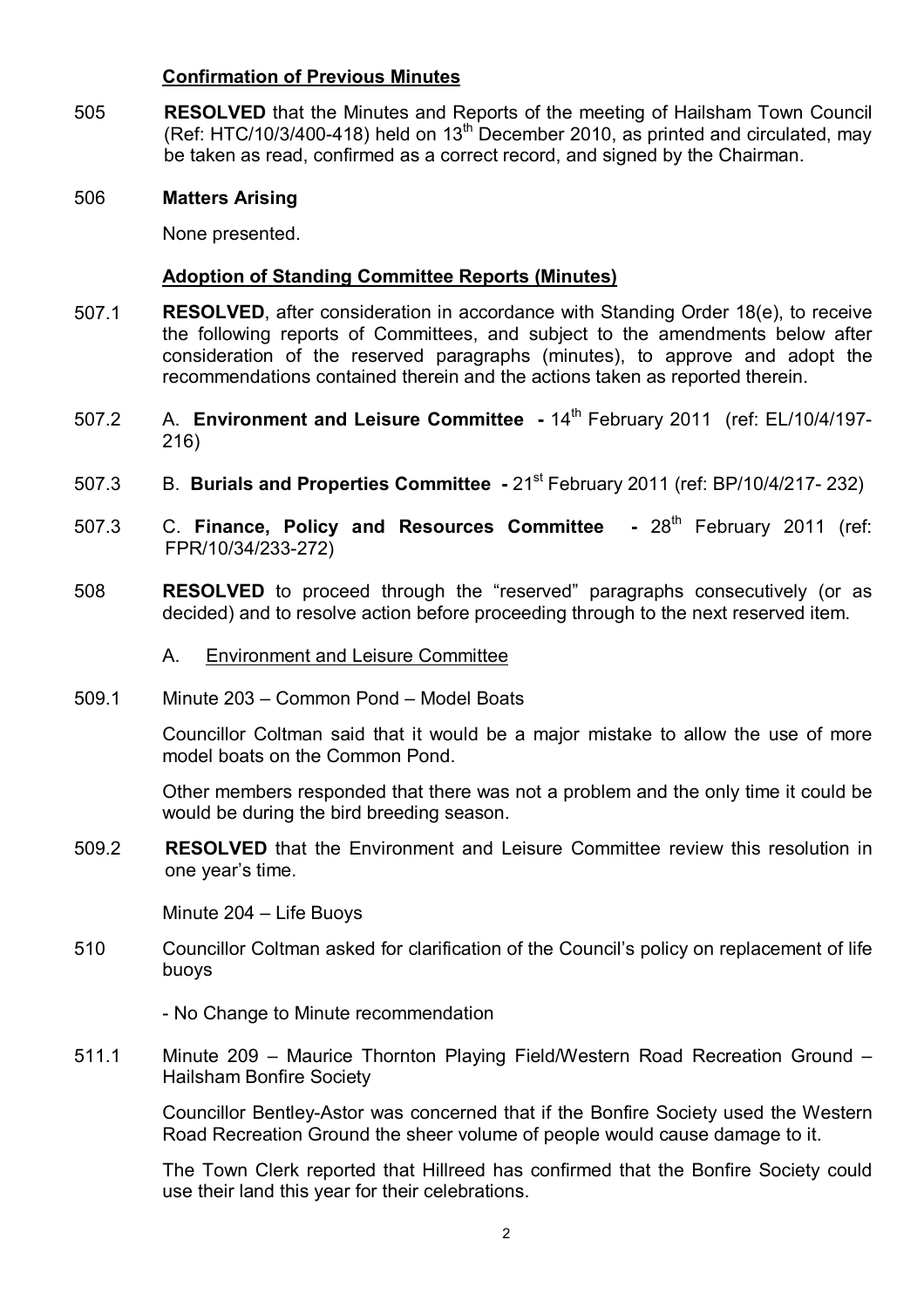# **Confirmation of Previous Minutes**

505 **RESOLVED** that the Minutes and Reports of the meeting of Hailsham Town Council (Ref: HTC/10/3/400-418) held on  $13<sup>th</sup>$  December 2010, as printed and circulated, may be taken as read, confirmed as a correct record, and signed by the Chairman.

## 506 **Matters Arising**

None presented.

## **Adoption of Standing Committee Reports (Minutes)**

- 507.1 **RESOLVED**, after consideration in accordance with Standing Order 18(e), to receive the following reports of Committees, and subject to the amendments below after consideration of the reserved paragraphs (minutes), to approve and adopt the recommendations contained therein and the actions taken as reported therein.
- 507.2 A. **Environment and Leisure Committee -** 14th February 2011 (ref: EL/10/4/197- 216)
- 507.3 B. Burials and Properties Committee 21<sup>st</sup> February 2011 (ref: BP/10/4/217- 232)
- 507.3 C. Finance, Policy and Resources Committee 28<sup>th</sup> February 2011 (ref: FPR/10/34/233-272)
- 508 **RESOLVED** to proceed through the "reserved" paragraphs consecutively (or as decided) and to resolve action before proceeding through to the next reserved item.
	- A. Environment and Leisure Committee
- 509.1 Minute 203 – Common Pond – Model Boats

Councillor Coltman said that it would be a major mistake to allow the use of more model boats on the Common Pond.

Other members responded that there was not a problem and the only time it could be would be during the bird breeding season.

509.2 **RESOLVED** that the Environment and Leisure Committee review this resolution in one year's time.

Minute 204 – Life Buoys

510 Councillor Coltman asked for clarification of the Council's policy on replacement of life buoys

- No Change to Minute recommendation

511.1 Minute 209 – Maurice Thornton Playing Field/Western Road Recreation Ground – Hailsham Bonfire Society

> Councillor Bentley-Astor was concerned that if the Bonfire Society used the Western Road Recreation Ground the sheer volume of people would cause damage to it.

> The Town Clerk reported that Hillreed has confirmed that the Bonfire Society could use their land this year for their celebrations.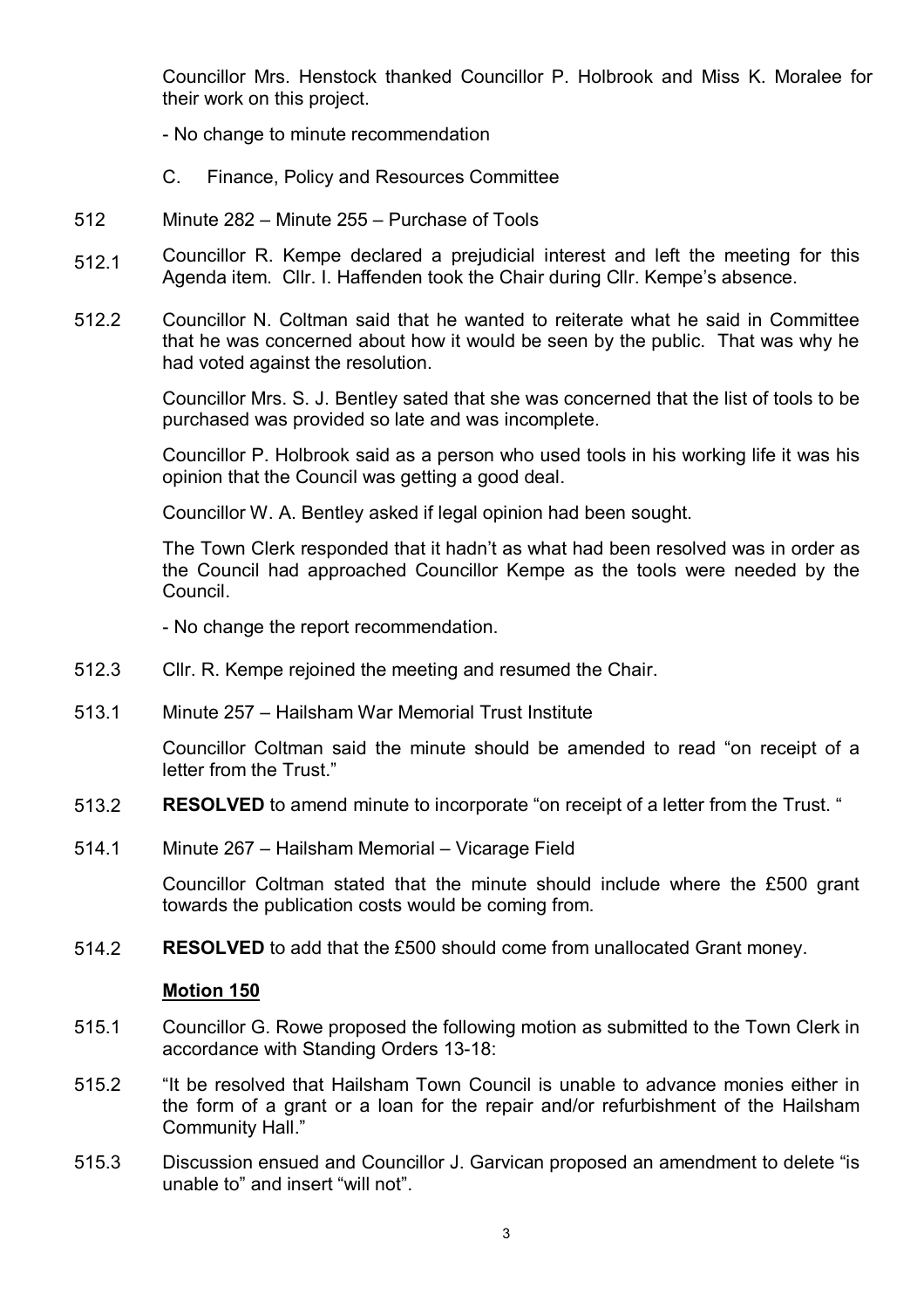Councillor Mrs. Henstock thanked Councillor P. Holbrook and Miss K. Moralee for their work on this project.

- No change to minute recommendation
- C. Finance, Policy and Resources Committee
- 512 Minute 282 – Minute 255 – Purchase of Tools
- 512.1 Councillor R. Kempe declared a prejudicial interest and left the meeting for this Agenda item. Cllr. I. Haffenden took the Chair during Cllr. Kempe's absence.
- 512.2 Councillor N. Coltman said that he wanted to reiterate what he said in Committee that he was concerned about how it would be seen by the public. That was why he had voted against the resolution.

Councillor Mrs. S. J. Bentley sated that she was concerned that the list of tools to be purchased was provided so late and was incomplete.

Councillor P. Holbrook said as a person who used tools in his working life it was his opinion that the Council was getting a good deal.

Councillor W. A. Bentley asked if legal opinion had been sought.

The Town Clerk responded that it hadn't as what had been resolved was in order as the Council had approached Councillor Kempe as the tools were needed by the Council.

- No change the report recommendation.

- 512.3 Cllr. R. Kempe rejoined the meeting and resumed the Chair.
- 513.1 Minute 257 – Hailsham War Memorial Trust Institute

Councillor Coltman said the minute should be amended to read "on receipt of a letter from the Trust."

- 513.2 **RESOLVED** to amend minute to incorporate "on receipt of a letter from the Trust. "
- 514.1 Minute 267 – Hailsham Memorial – Vicarage Field

Councillor Coltman stated that the minute should include where the £500 grant towards the publication costs would be coming from.

514.2 **RESOLVED** to add that the £500 should come from unallocated Grant money.

#### **Motion 150**

- 515.1 Councillor G. Rowe proposed the following motion as submitted to the Town Clerk in accordance with Standing Orders 13-18:
- 515.2 "It be resolved that Hailsham Town Council is unable to advance monies either in the form of a grant or a loan for the repair and/or refurbishment of the Hailsham Community Hall."
- 515.3 Discussion ensued and Councillor J. Garvican proposed an amendment to delete "is unable to" and insert "will not".